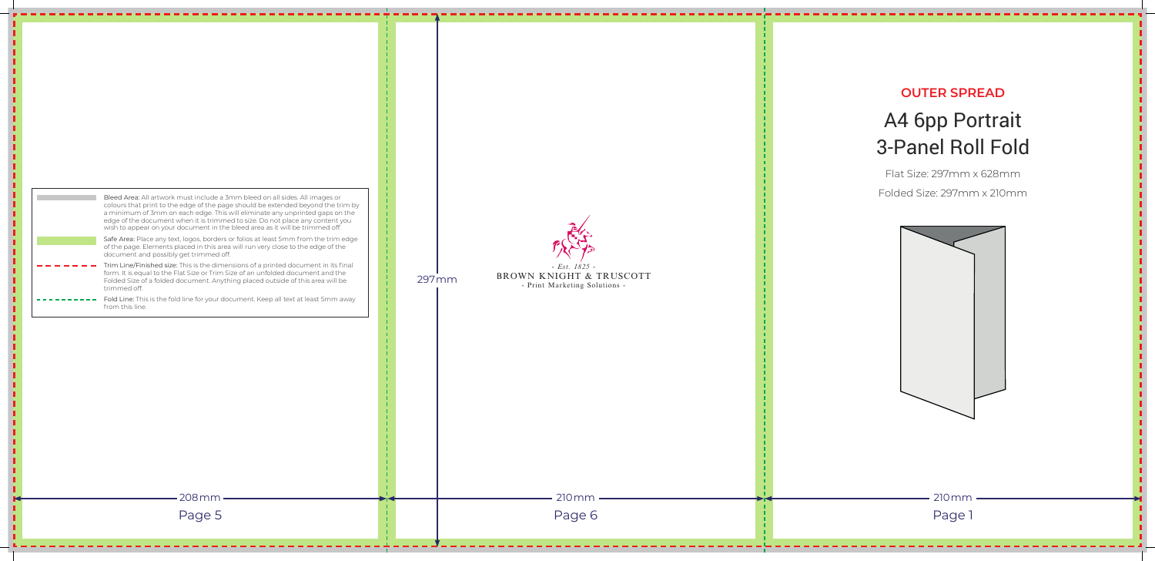

|  | Bleed Area: All artwork must include a 3mm bleed on all sides. All images or<br>colours that print to the edge of the page should be extended beyond the trim by<br>a minimum of 3mm on each edge. This will eliminate any unprinted gaps on the<br>edge of the document when it is trimmed to size. Do not place any content you<br>wish to appear on your document in the bleed area as it will be trimmed off.<br>Safe Area: Place any text, logos, borders or folios at least 5mm from the trim edge<br>of the page. Elements placed in this area will run very close to the edge of the<br>document and possibly get trimmed off.<br>Trim Line/Finished size: This is the dimensions of a printed document in its final<br>form. It is equal to the Flat Size or Trim Size of an unfolded document and the<br>Folded Size of a folded document. Anything placed outside of this area will be<br>trimmed off.<br>Fold Line: This is the fold line for your document. Keep all text at least 5mm away |  | 297 mm | <b>BROWN KNIGI</b> | $-$ Est<br>- Print Marke |
|--|----------------------------------------------------------------------------------------------------------------------------------------------------------------------------------------------------------------------------------------------------------------------------------------------------------------------------------------------------------------------------------------------------------------------------------------------------------------------------------------------------------------------------------------------------------------------------------------------------------------------------------------------------------------------------------------------------------------------------------------------------------------------------------------------------------------------------------------------------------------------------------------------------------------------------------------------------------------------------------------------------------|--|--------|--------------------|--------------------------|
|  | from this line.                                                                                                                                                                                                                                                                                                                                                                                                                                                                                                                                                                                                                                                                                                                                                                                                                                                                                                                                                                                          |  |        |                    |                          |
|  |                                                                                                                                                                                                                                                                                                                                                                                                                                                                                                                                                                                                                                                                                                                                                                                                                                                                                                                                                                                                          |  |        |                    |                          |
|  | 208mm<br>Page 5                                                                                                                                                                                                                                                                                                                                                                                                                                                                                                                                                                                                                                                                                                                                                                                                                                                                                                                                                                                          |  |        |                    | 210<br>Pa                |
|  |                                                                                                                                                                                                                                                                                                                                                                                                                                                                                                                                                                                                                                                                                                                                                                                                                                                                                                                                                                                                          |  |        |                    |                          |